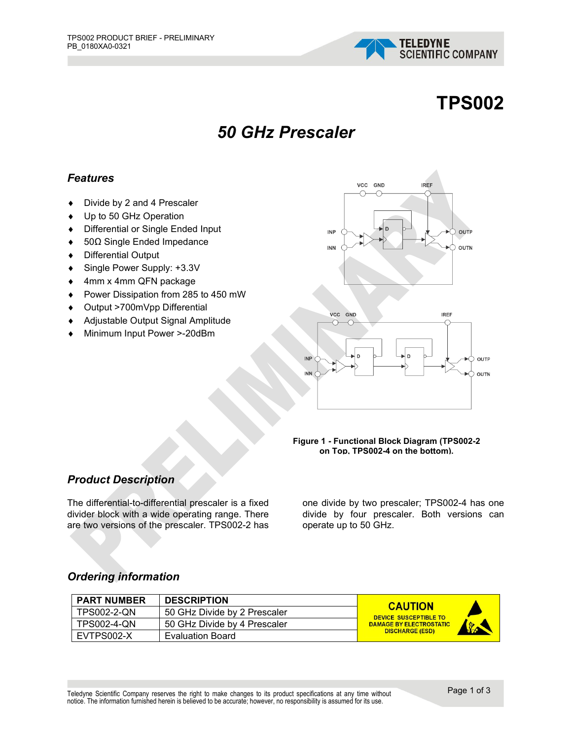

# **TPS002**

## *50 GHz Prescaler*

#### *Features*

- ♦ Divide by 2 and 4 Prescaler
- ♦ Up to 50 GHz Operation
- ♦ Differential or Single Ended Input
- ♦ 50Ω Single Ended Impedance
- ♦ Differential Output
- ♦ Single Power Supply: +3.3V
- ♦ 4mm x 4mm QFN package
- ♦ Power Dissipation from 285 to 450 mW
- ♦ Output >700mVpp Differential
- ♦ Adjustable Output Signal Amplitude
- Minimum Input Power >-20dBm





#### **Figure 1 - Functional Block Diagram (TPS002-2 on Top, TPS002-4 on the bottom).**

#### *Product Description*

The differential-to-differential prescaler is a fixed divider block with a wide operating range. There are two versions of the prescaler. TPS002-2 has

one divide by two prescaler; TPS002-4 has one divide by four prescaler. Both versions can operate up to 50 GHz.

#### *Ordering information*

| <b>PART NUMBER</b> | <b>DESCRIPTION</b>           | <b>CAUTION</b>                 |                     |
|--------------------|------------------------------|--------------------------------|---------------------|
| <b>TPS002-2-ON</b> | 50 GHz Divide by 2 Prescaler | <b>DEVICE SUSCEPTIBLE TO</b>   |                     |
| <b>TPS002-4-QN</b> | 50 GHz Divide by 4 Prescaler | <b>DAMAGE BY ELECTROSTATIC</b> | <b>SECOND STATE</b> |
| EVTPS002-X         | <b>Evaluation Board</b>      | <b>DISCHARGE (ESD)</b>         |                     |

Teledyne Scientific Company reserves the right to make changes to its product specifications at any time without notice. The information furnished herein is believed to be accurate; however, no responsibility is assumed for its use.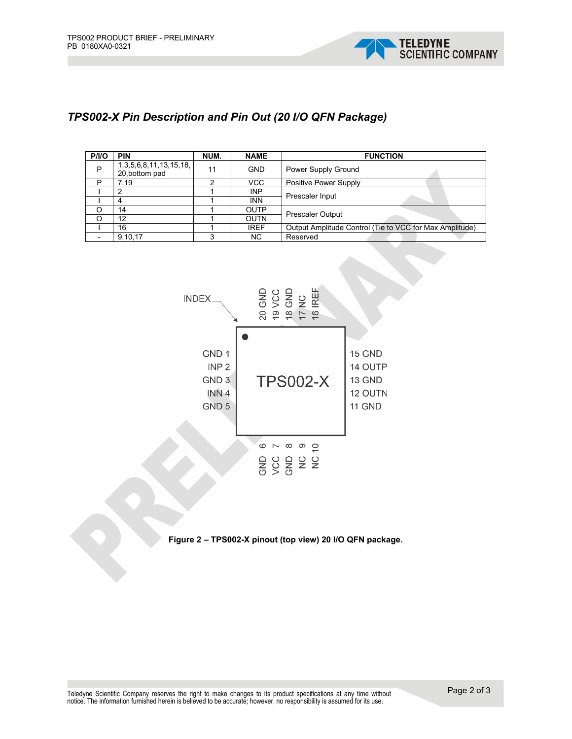

#### *TPS002-X Pin Description and Pin Out (20 I/O QFN Package)*

| P/IO | <b>PIN</b>                                       | NUM. | <b>NAME</b> | <b>FUNCTION</b>                                         |  |
|------|--------------------------------------------------|------|-------------|---------------------------------------------------------|--|
| P    | 1, 3, 5, 6, 8, 11, 13, 15, 18,<br>20, bottom pad | 11   | <b>GND</b>  | Power Supply Ground                                     |  |
| P    | 7.19                                             |      | <b>VCC</b>  | Positive Power Supply                                   |  |
|      | 2                                                |      | <b>INP</b>  | Prescaler Input                                         |  |
|      | 4                                                |      | <b>INN</b>  |                                                         |  |
| O    | 14                                               |      | <b>OUTP</b> | <b>Prescaler Output</b>                                 |  |
| O    | 12                                               |      | <b>OUTN</b> |                                                         |  |
|      | 16                                               |      | <b>IREF</b> | Output Amplitude Control (Tie to VCC for Max Amplitude) |  |
|      | 9.10.17                                          | ົ    | NC.         | Reserved                                                |  |



**Figure 2 – TPS002-X pinout (top view) 20 I/O QFN package.**